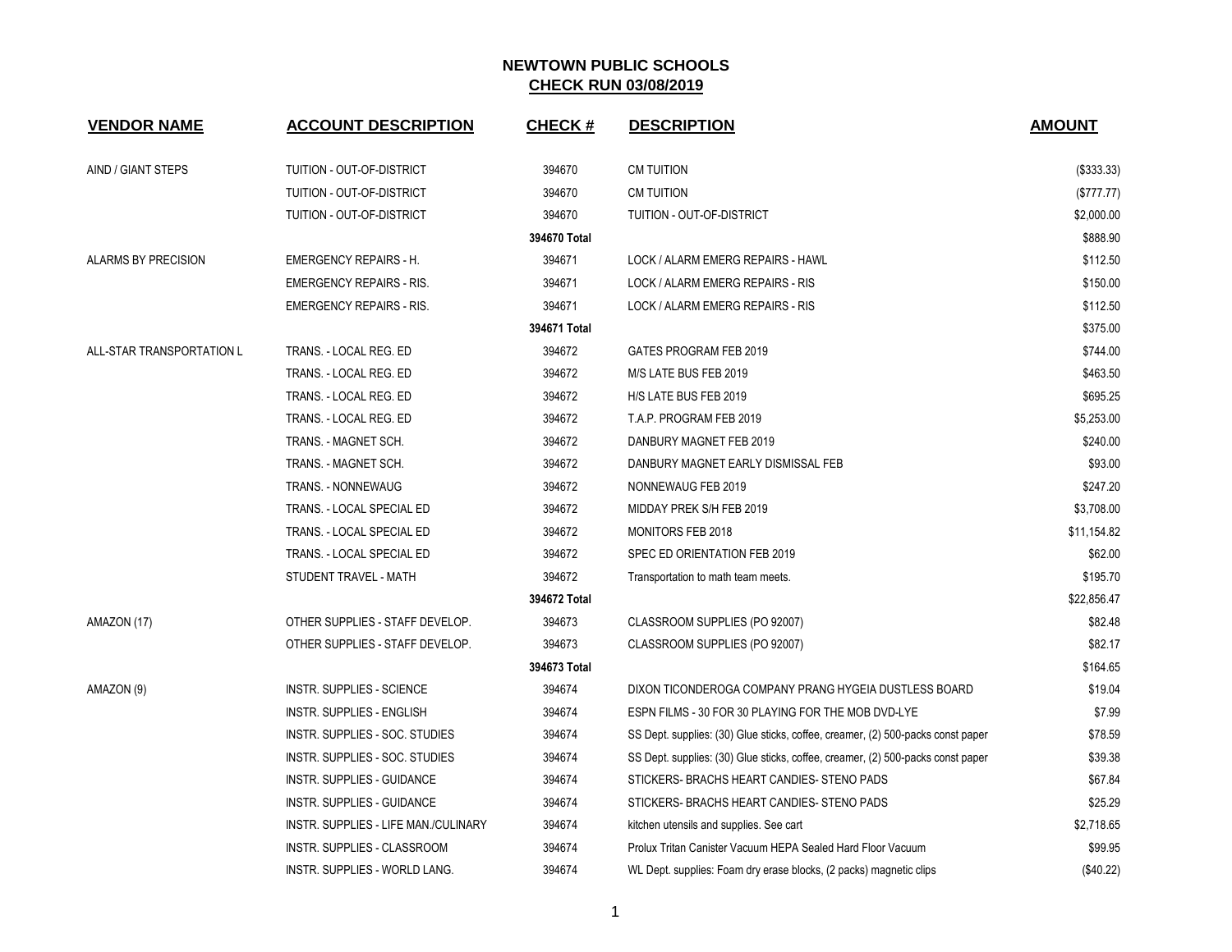| <b>VENDOR NAME</b>        | <b>ACCOUNT DESCRIPTION</b>           | <b>CHECK#</b>                                | <b>DESCRIPTION</b>                                                              | <b>AMOUNT</b> |
|---------------------------|--------------------------------------|----------------------------------------------|---------------------------------------------------------------------------------|---------------|
| AIND / GIANT STEPS        | TUITION - OUT-OF-DISTRICT            | 394670                                       | <b>CM TUITION</b>                                                               | (\$333.33)    |
|                           | TUITION - OUT-OF-DISTRICT            | 394670                                       | <b>CM TUITION</b>                                                               | (\$777.77)    |
|                           | TUITION - OUT-OF-DISTRICT            | 394670                                       | TUITION - OUT-OF-DISTRICT                                                       | \$2,000.00    |
|                           |                                      | 394670 Total                                 |                                                                                 | \$888.90      |
| ALARMS BY PRECISION       | <b>EMERGENCY REPAIRS - H.</b>        | 394671                                       | LOCK / ALARM EMERG REPAIRS - HAWL                                               | \$112.50      |
|                           | <b>EMERGENCY REPAIRS - RIS.</b>      | 394671                                       | LOCK / ALARM EMERG REPAIRS - RIS                                                | \$150.00      |
|                           | <b>EMERGENCY REPAIRS - RIS.</b>      | 394671                                       | LOCK / ALARM EMERG REPAIRS - RIS                                                | \$112.50      |
|                           |                                      | 394671 Total                                 |                                                                                 | \$375.00      |
| ALL-STAR TRANSPORTATION L | TRANS. - LOCAL REG. ED               | 394672                                       | GATES PROGRAM FEB 2019                                                          | \$744.00      |
|                           | TRANS. - LOCAL REG. ED               | 394672                                       | M/S LATE BUS FEB 2019                                                           | \$463.50      |
|                           | TRANS. - LOCAL REG. ED               | 394672                                       | H/S LATE BUS FEB 2019                                                           | \$695.25      |
|                           | TRANS. - LOCAL REG. ED               | 394672                                       | T.A.P. PROGRAM FEB 2019                                                         | \$5,253.00    |
|                           | TRANS. - MAGNET SCH.                 | 394672                                       | DANBURY MAGNET FEB 2019                                                         | \$240.00      |
|                           | TRANS. - MAGNET SCH.                 | 394672                                       | DANBURY MAGNET EARLY DISMISSAL FEB                                              | \$93.00       |
|                           | TRANS. - NONNEWAUG                   | 394672                                       | NONNEWAUG FEB 2019                                                              | \$247.20      |
|                           | TRANS. - LOCAL SPECIAL ED            | 394672                                       | MIDDAY PREK S/H FEB 2019                                                        | \$3,708.00    |
|                           | TRANS. - LOCAL SPECIAL ED            | 394672                                       | <b>MONITORS FEB 2018</b>                                                        | \$11,154.82   |
|                           | TRANS. - LOCAL SPECIAL ED            | 394672                                       | SPEC ED ORIENTATION FEB 2019                                                    | \$62.00       |
|                           | STUDENT TRAVEL - MATH                | 394672<br>Transportation to math team meets. |                                                                                 | \$195.70      |
|                           |                                      | 394672 Total                                 |                                                                                 | \$22,856.47   |
| AMAZON (17)               | OTHER SUPPLIES - STAFF DEVELOP.      | 394673                                       | CLASSROOM SUPPLIES (PO 92007)                                                   | \$82.48       |
|                           | OTHER SUPPLIES - STAFF DEVELOP.      | 394673                                       | CLASSROOM SUPPLIES (PO 92007)                                                   | \$82.17       |
|                           |                                      | 394673 Total                                 |                                                                                 | \$164.65      |
| AMAZON (9)                | <b>INSTR. SUPPLIES - SCIENCE</b>     | 394674                                       | DIXON TICONDEROGA COMPANY PRANG HYGEIA DUSTLESS BOARD                           | \$19.04       |
|                           | <b>INSTR. SUPPLIES - ENGLISH</b>     | 394674                                       | ESPN FILMS - 30 FOR 30 PLAYING FOR THE MOB DVD-LYE                              | \$7.99        |
|                           | INSTR. SUPPLIES - SOC. STUDIES       | 394674                                       | SS Dept. supplies: (30) Glue sticks, coffee, creamer, (2) 500-packs const paper | \$78.59       |
|                           | INSTR. SUPPLIES - SOC. STUDIES       | 394674                                       | SS Dept. supplies: (30) Glue sticks, coffee, creamer, (2) 500-packs const paper | \$39.38       |
|                           | <b>INSTR. SUPPLIES - GUIDANCE</b>    | 394674                                       | STICKERS- BRACHS HEART CANDIES- STENO PADS                                      | \$67.84       |
|                           | <b>INSTR. SUPPLIES - GUIDANCE</b>    | 394674                                       | STICKERS- BRACHS HEART CANDIES- STENO PADS                                      | \$25.29       |
|                           | INSTR. SUPPLIES - LIFE MAN./CULINARY | 394674                                       | kitchen utensils and supplies. See cart                                         | \$2,718.65    |
|                           | <b>INSTR. SUPPLIES - CLASSROOM</b>   | 394674                                       | Prolux Tritan Canister Vacuum HEPA Sealed Hard Floor Vacuum                     | \$99.95       |
|                           | INSTR. SUPPLIES - WORLD LANG.        | 394674                                       | WL Dept. supplies: Foam dry erase blocks, (2 packs) magnetic clips              | (\$40.22)     |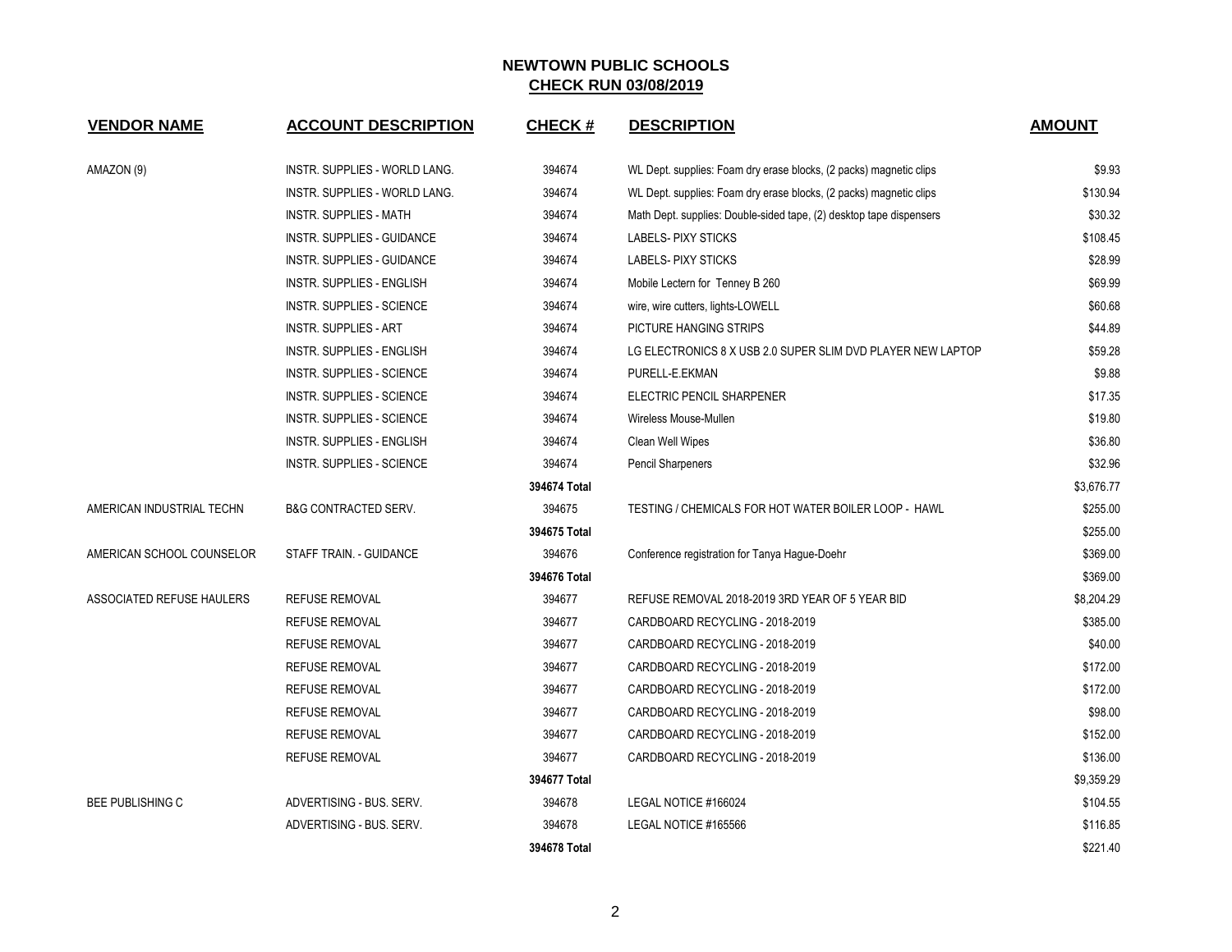| <b>VENDOR NAME</b>        | <b>ACCOUNT DESCRIPTION</b>        | <b>CHECK#</b> | <b>DESCRIPTION</b>                                                  | <b>AMOUNT</b> |
|---------------------------|-----------------------------------|---------------|---------------------------------------------------------------------|---------------|
| AMAZON (9)                | INSTR. SUPPLIES - WORLD LANG.     | 394674        | WL Dept. supplies: Foam dry erase blocks, (2 packs) magnetic clips  | \$9.93        |
|                           | INSTR. SUPPLIES - WORLD LANG.     | 394674        | WL Dept. supplies: Foam dry erase blocks, (2 packs) magnetic clips  | \$130.94      |
|                           | INSTR. SUPPLIES - MATH            | 394674        | Math Dept. supplies: Double-sided tape, (2) desktop tape dispensers | \$30.32       |
|                           | <b>INSTR. SUPPLIES - GUIDANCE</b> | 394674        | <b>LABELS-PIXY STICKS</b>                                           | \$108.45      |
|                           | <b>INSTR. SUPPLIES - GUIDANCE</b> | 394674        | <b>LABELS-PIXY STICKS</b>                                           | \$28.99       |
|                           | INSTR. SUPPLIES - ENGLISH         | 394674        | Mobile Lectern for Tenney B 260                                     | \$69.99       |
|                           | INSTR. SUPPLIES - SCIENCE         | 394674        | wire, wire cutters, lights-LOWELL                                   | \$60.68       |
|                           | <b>INSTR. SUPPLIES - ART</b>      | 394674        | PICTURE HANGING STRIPS                                              | \$44.89       |
|                           | <b>INSTR. SUPPLIES - ENGLISH</b>  | 394674        | LG ELECTRONICS 8 X USB 2.0 SUPER SLIM DVD PLAYER NEW LAPTOP         | \$59.28       |
|                           | <b>INSTR. SUPPLIES - SCIENCE</b>  | 394674        | PURELL-E.EKMAN                                                      | \$9.88        |
|                           | INSTR. SUPPLIES - SCIENCE         | 394674        | ELECTRIC PENCIL SHARPENER                                           | \$17.35       |
|                           | INSTR. SUPPLIES - SCIENCE         | 394674        | Wireless Mouse-Mullen                                               | \$19.80       |
|                           | <b>INSTR. SUPPLIES - ENGLISH</b>  | 394674        | Clean Well Wipes                                                    | \$36.80       |
|                           | INSTR. SUPPLIES - SCIENCE         | 394674        | Pencil Sharpeners                                                   | \$32.96       |
|                           |                                   | 394674 Total  |                                                                     | \$3,676.77    |
| AMERICAN INDUSTRIAL TECHN | B&G CONTRACTED SERV.              | 394675        | TESTING / CHEMICALS FOR HOT WATER BOILER LOOP - HAWL                | \$255.00      |
|                           |                                   | 394675 Total  |                                                                     | \$255.00      |
| AMERICAN SCHOOL COUNSELOR | STAFF TRAIN. - GUIDANCE           | 394676        | Conference registration for Tanya Hague-Doehr                       | \$369.00      |
|                           |                                   | 394676 Total  |                                                                     | \$369.00      |
| ASSOCIATED REFUSE HAULERS | <b>REFUSE REMOVAL</b>             | 394677        | REFUSE REMOVAL 2018-2019 3RD YEAR OF 5 YEAR BID                     | \$8,204.29    |
|                           | <b>REFUSE REMOVAL</b>             | 394677        | CARDBOARD RECYCLING - 2018-2019                                     | \$385.00      |
|                           | <b>REFUSE REMOVAL</b>             | 394677        | CARDBOARD RECYCLING - 2018-2019                                     |               |
|                           | <b>REFUSE REMOVAL</b>             | 394677        | CARDBOARD RECYCLING - 2018-2019                                     |               |
|                           | <b>REFUSE REMOVAL</b>             | 394677        | CARDBOARD RECYCLING - 2018-2019                                     | \$172.00      |
|                           | <b>REFUSE REMOVAL</b>             | 394677        | CARDBOARD RECYCLING - 2018-2019                                     | \$98.00       |
|                           | <b>REFUSE REMOVAL</b>             | 394677        | CARDBOARD RECYCLING - 2018-2019                                     | \$152.00      |
|                           | <b>REFUSE REMOVAL</b>             | 394677        | CARDBOARD RECYCLING - 2018-2019                                     | \$136.00      |
|                           |                                   | 394677 Total  |                                                                     | \$9,359.29    |
| <b>BEE PUBLISHING C</b>   | ADVERTISING - BUS, SERV.          | 394678        | LEGAL NOTICE #166024                                                | \$104.55      |
|                           | ADVERTISING - BUS, SERV.          | 394678        | LEGAL NOTICE #165566                                                | \$116.85      |
|                           |                                   | 394678 Total  |                                                                     | \$221.40      |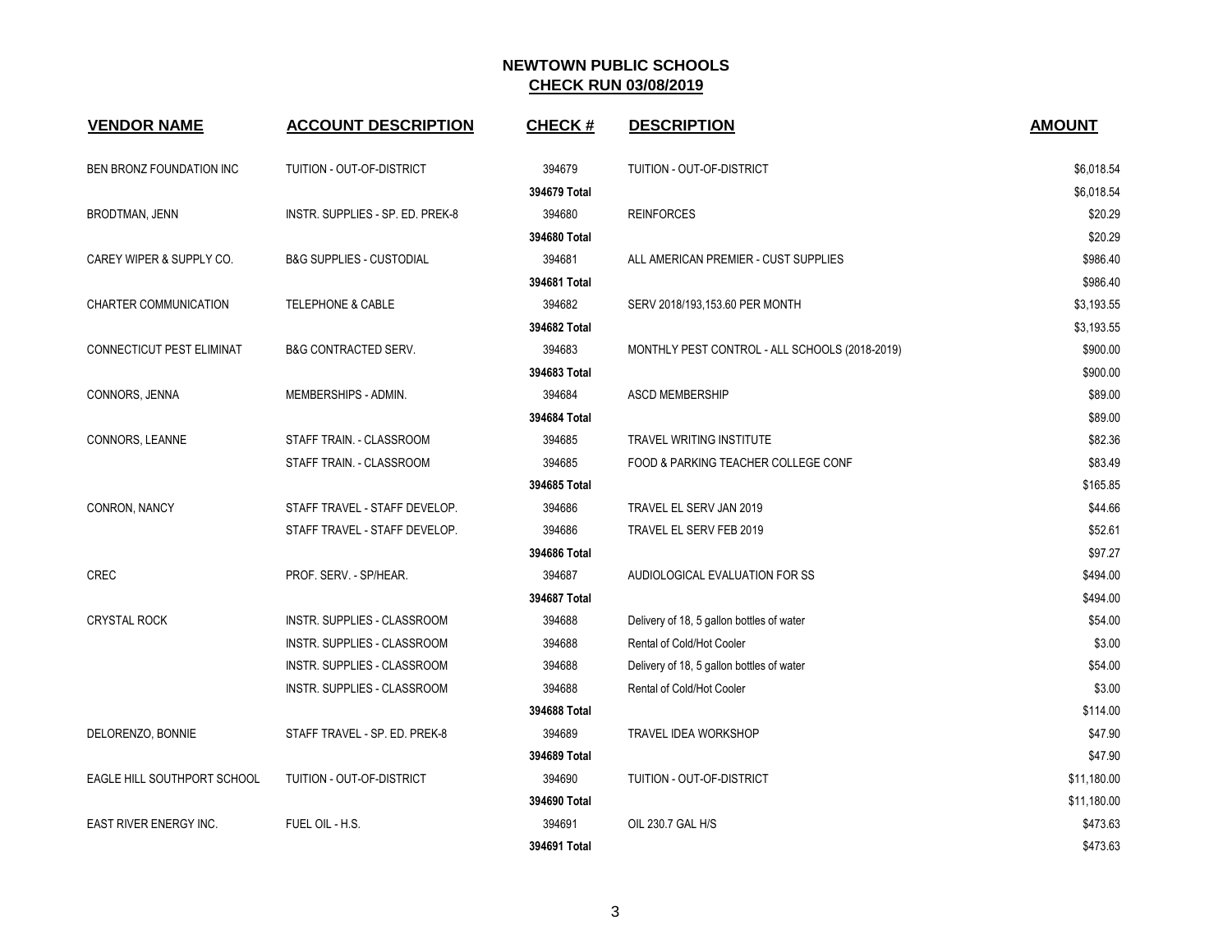| <b>VENDOR NAME</b>          | <b>ACCOUNT DESCRIPTION</b>          | <b>CHECK#</b> | <b>DESCRIPTION</b>                             | <b>AMOUNT</b> |
|-----------------------------|-------------------------------------|---------------|------------------------------------------------|---------------|
| BEN BRONZ FOUNDATION INC    | TUITION - OUT-OF-DISTRICT           | 394679        | TUITION - OUT-OF-DISTRICT                      | \$6,018.54    |
|                             |                                     | 394679 Total  |                                                | \$6,018.54    |
| BRODTMAN, JENN              | INSTR. SUPPLIES - SP. ED. PREK-8    | 394680        | <b>REINFORCES</b>                              | \$20.29       |
|                             |                                     | 394680 Total  |                                                | \$20.29       |
| CAREY WIPER & SUPPLY CO.    | <b>B&amp;G SUPPLIES - CUSTODIAL</b> | 394681        | ALL AMERICAN PREMIER - CUST SUPPLIES           | \$986.40      |
|                             |                                     | 394681 Total  |                                                | \$986.40      |
| CHARTER COMMUNICATION       | <b>TELEPHONE &amp; CABLE</b>        | 394682        | SERV 2018/193,153.60 PER MONTH                 | \$3,193.55    |
|                             |                                     | 394682 Total  |                                                | \$3,193.55    |
| CONNECTICUT PEST ELIMINAT   | <b>B&amp;G CONTRACTED SERV.</b>     | 394683        | MONTHLY PEST CONTROL - ALL SCHOOLS (2018-2019) | \$900.00      |
|                             |                                     | 394683 Total  |                                                | \$900.00      |
| CONNORS, JENNA              | MEMBERSHIPS - ADMIN.                | 394684        | <b>ASCD MEMBERSHIP</b>                         | \$89.00       |
|                             |                                     | 394684 Total  |                                                | \$89.00       |
| CONNORS, LEANNE             | STAFF TRAIN. - CLASSROOM            | 394685        | <b>TRAVEL WRITING INSTITUTE</b>                | \$82.36       |
|                             | STAFF TRAIN. - CLASSROOM            | 394685        | FOOD & PARKING TEACHER COLLEGE CONF            | \$83.49       |
|                             |                                     | 394685 Total  |                                                | \$165.85      |
| CONRON, NANCY               | STAFF TRAVEL - STAFF DEVELOP.       | 394686        | TRAVEL EL SERV JAN 2019                        | \$44.66       |
|                             | STAFF TRAVEL - STAFF DEVELOP.       | 394686        | TRAVEL EL SERV FEB 2019                        | \$52.61       |
|                             |                                     | 394686 Total  |                                                | \$97.27       |
| <b>CREC</b>                 | PROF. SERV. - SP/HEAR.              | 394687        | AUDIOLOGICAL EVALUATION FOR SS                 | \$494.00      |
|                             |                                     | 394687 Total  |                                                | \$494.00      |
| <b>CRYSTAL ROCK</b>         | INSTR. SUPPLIES - CLASSROOM         | 394688        | Delivery of 18, 5 gallon bottles of water      | \$54.00       |
|                             | INSTR. SUPPLIES - CLASSROOM         | 394688        | Rental of Cold/Hot Cooler                      | \$3.00        |
|                             | INSTR. SUPPLIES - CLASSROOM         | 394688        | Delivery of 18, 5 gallon bottles of water      | \$54.00       |
|                             | INSTR. SUPPLIES - CLASSROOM         | 394688        | Rental of Cold/Hot Cooler                      | \$3.00        |
|                             |                                     | 394688 Total  |                                                | \$114.00      |
| DELORENZO, BONNIE           | STAFF TRAVEL - SP. ED. PREK-8       | 394689        | TRAVEL IDEA WORKSHOP                           | \$47.90       |
|                             |                                     | 394689 Total  |                                                | \$47.90       |
| EAGLE HILL SOUTHPORT SCHOOL | TUITION - OUT-OF-DISTRICT           | 394690        | TUITION - OUT-OF-DISTRICT                      | \$11,180.00   |
|                             |                                     | 394690 Total  |                                                | \$11,180.00   |
| EAST RIVER ENERGY INC.      | FUEL OIL - H.S.                     | 394691        | OIL 230.7 GAL H/S                              | \$473.63      |
|                             |                                     | 394691 Total  |                                                | \$473.63      |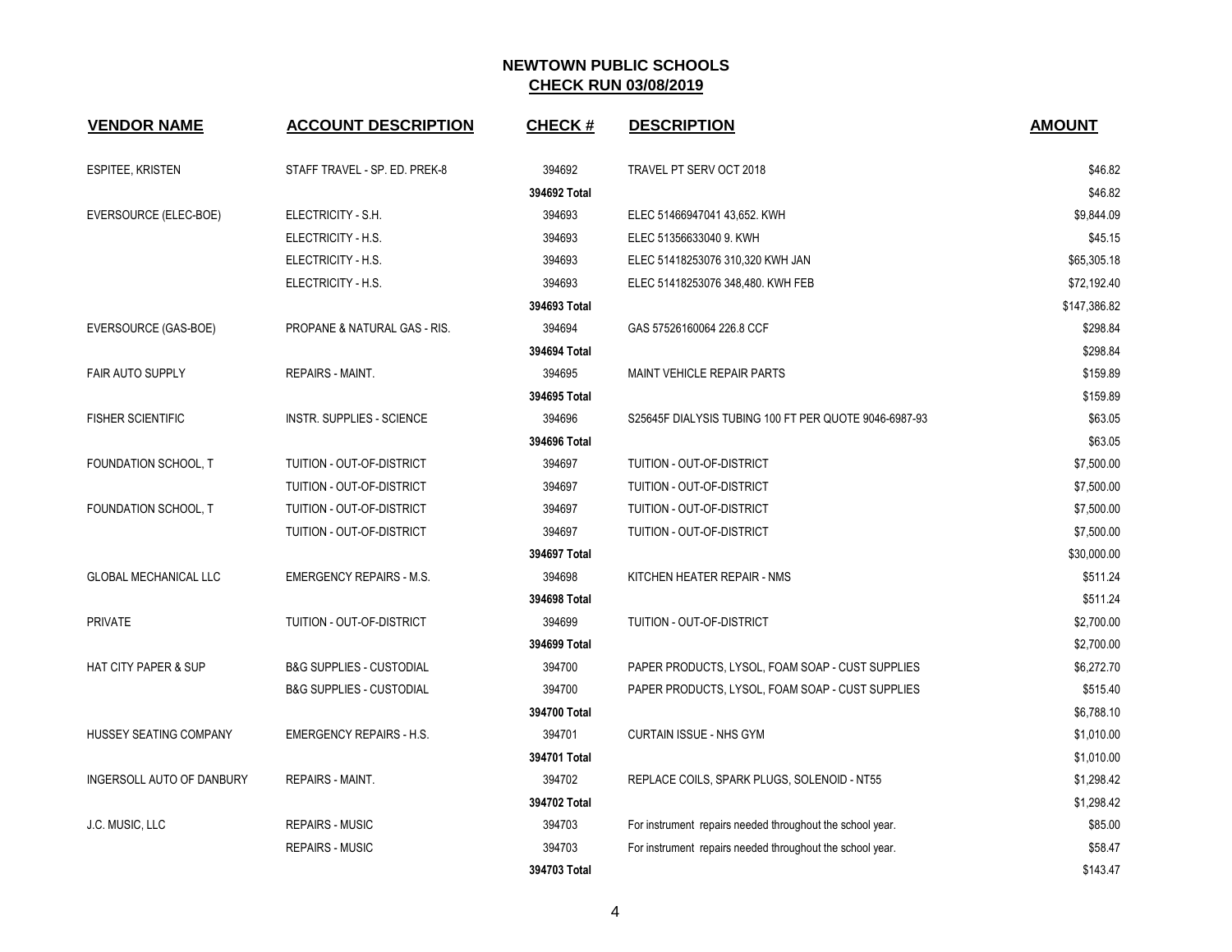| <b>VENDOR NAME</b>              | <b>ACCOUNT DESCRIPTION</b>          | <b>CHECK#</b> | <b>DESCRIPTION</b>                                        | <b>AMOUNT</b> |
|---------------------------------|-------------------------------------|---------------|-----------------------------------------------------------|---------------|
| <b>ESPITEE, KRISTEN</b>         | STAFF TRAVEL - SP. ED. PREK-8       | 394692        | TRAVEL PT SERV OCT 2018                                   | \$46.82       |
|                                 |                                     | 394692 Total  |                                                           | \$46.82       |
| EVERSOURCE (ELEC-BOE)           | ELECTRICITY - S.H.                  | 394693        | ELEC 51466947041 43,652. KWH                              | \$9,844.09    |
|                                 | ELECTRICITY - H.S.                  | 394693        | ELEC 51356633040 9. KWH                                   | \$45.15       |
|                                 | ELECTRICITY - H.S.                  | 394693        | ELEC 51418253076 310,320 KWH JAN                          | \$65,305.18   |
|                                 | ELECTRICITY - H.S.                  | 394693        | ELEC 51418253076 348,480. KWH FEB                         | \$72,192.40   |
|                                 |                                     | 394693 Total  |                                                           | \$147,386.82  |
| EVERSOURCE (GAS-BOE)            | PROPANE & NATURAL GAS - RIS.        | 394694        | GAS 57526160064 226.8 CCF                                 | \$298.84      |
|                                 |                                     | 394694 Total  |                                                           | \$298.84      |
| <b>FAIR AUTO SUPPLY</b>         | <b>REPAIRS - MAINT.</b>             | 394695        | <b>MAINT VEHICLE REPAIR PARTS</b>                         | \$159.89      |
|                                 |                                     | 394695 Total  |                                                           | \$159.89      |
| <b>FISHER SCIENTIFIC</b>        | <b>INSTR. SUPPLIES - SCIENCE</b>    | 394696        | S25645F DIALYSIS TUBING 100 FT PER QUOTE 9046-6987-93     | \$63.05       |
|                                 |                                     | 394696 Total  |                                                           | \$63.05       |
| FOUNDATION SCHOOL, T            | TUITION - OUT-OF-DISTRICT           | 394697        | TUITION - OUT-OF-DISTRICT                                 | \$7,500.00    |
|                                 | TUITION - OUT-OF-DISTRICT           | 394697        | TUITION - OUT-OF-DISTRICT                                 | \$7,500.00    |
| FOUNDATION SCHOOL, T            | TUITION - OUT-OF-DISTRICT           | 394697        | TUITION - OUT-OF-DISTRICT                                 | \$7,500.00    |
|                                 | TUITION - OUT-OF-DISTRICT           | 394697        | TUITION - OUT-OF-DISTRICT                                 | \$7,500.00    |
|                                 |                                     | 394697 Total  |                                                           | \$30,000.00   |
| <b>GLOBAL MECHANICAL LLC</b>    | <b>EMERGENCY REPAIRS - M.S.</b>     | 394698        | KITCHEN HEATER REPAIR - NMS                               | \$511.24      |
|                                 |                                     | 394698 Total  |                                                           | \$511.24      |
| <b>PRIVATE</b>                  | TUITION - OUT-OF-DISTRICT           | 394699        | TUITION - OUT-OF-DISTRICT                                 | \$2,700.00    |
|                                 |                                     | 394699 Total  |                                                           | \$2,700.00    |
| <b>HAT CITY PAPER &amp; SUP</b> | <b>B&amp;G SUPPLIES - CUSTODIAL</b> | 394700        | PAPER PRODUCTS, LYSOL, FOAM SOAP - CUST SUPPLIES          | \$6,272.70    |
|                                 | <b>B&amp;G SUPPLIES - CUSTODIAL</b> | 394700        | PAPER PRODUCTS, LYSOL, FOAM SOAP - CUST SUPPLIES          | \$515.40      |
|                                 |                                     | 394700 Total  |                                                           | \$6,788.10    |
| HUSSEY SEATING COMPANY          | <b>EMERGENCY REPAIRS - H.S.</b>     | 394701        | <b>CURTAIN ISSUE - NHS GYM</b>                            | \$1,010.00    |
|                                 |                                     | 394701 Total  |                                                           | \$1,010.00    |
| INGERSOLL AUTO OF DANBURY       | <b>REPAIRS - MAINT.</b>             | 394702        | REPLACE COILS, SPARK PLUGS, SOLENOID - NT55               | \$1,298.42    |
|                                 |                                     | 394702 Total  |                                                           | \$1,298.42    |
| J.C. MUSIC, LLC                 | <b>REPAIRS - MUSIC</b>              | 394703        | For instrument repairs needed throughout the school year. | \$85.00       |
|                                 | REPAIRS - MUSIC                     | 394703        | For instrument repairs needed throughout the school year. | \$58.47       |
|                                 |                                     | 394703 Total  |                                                           | \$143.47      |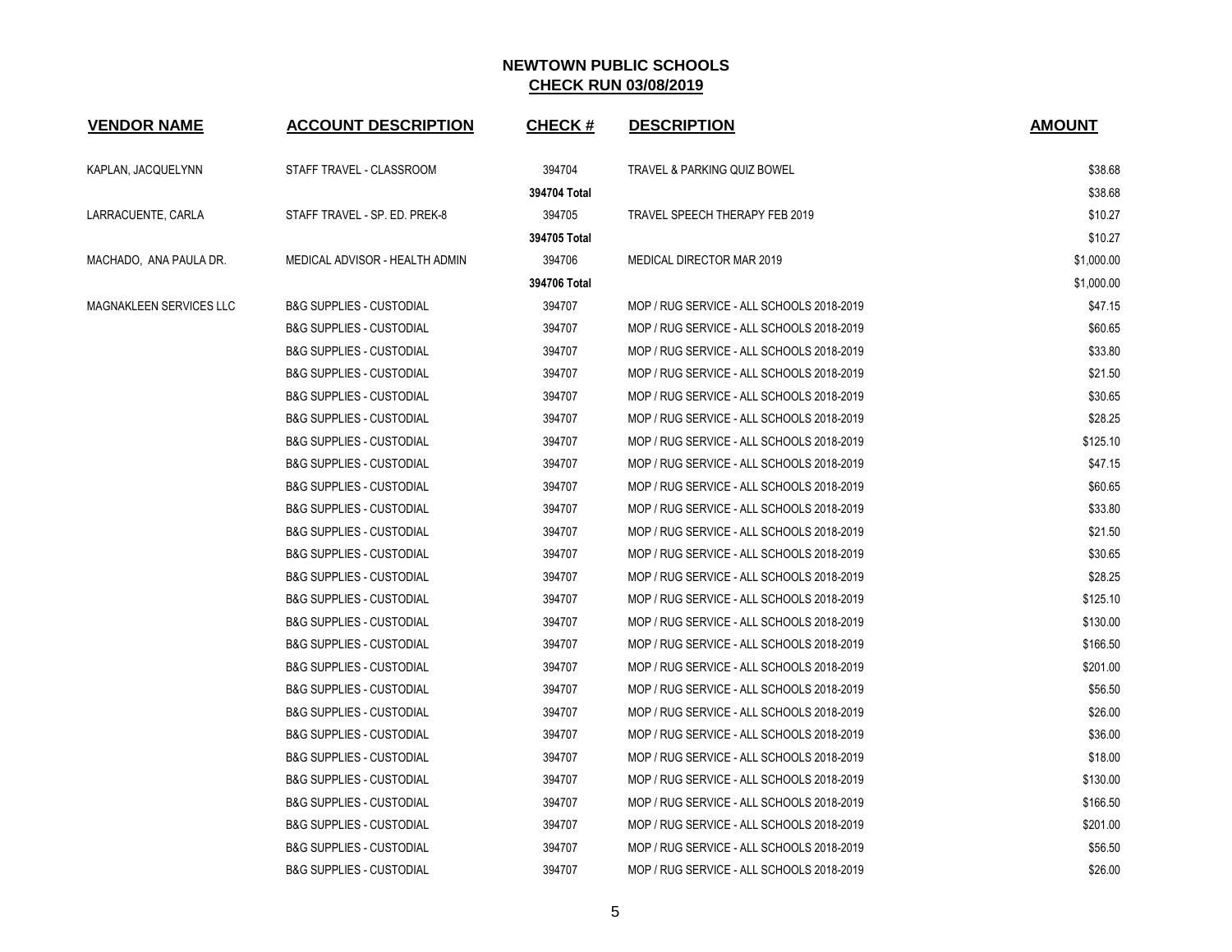| <b>VENDOR NAME</b>      | <b>ACCOUNT DESCRIPTION</b>          | <b>CHECK#</b> | <b>DESCRIPTION</b>                        | <b>AMOUNT</b> |
|-------------------------|-------------------------------------|---------------|-------------------------------------------|---------------|
| KAPLAN, JACQUELYNN      | STAFF TRAVEL - CLASSROOM            | 394704        | TRAVEL & PARKING QUIZ BOWEL               | \$38.68       |
|                         |                                     | 394704 Total  |                                           | \$38.68       |
| LARRACUENTE, CARLA      | STAFF TRAVEL - SP. ED. PREK-8       | 394705        | TRAVEL SPEECH THERAPY FEB 2019            | \$10.27       |
|                         |                                     | 394705 Total  |                                           | \$10.27       |
| MACHADO, ANA PAULA DR.  | MEDICAL ADVISOR - HEALTH ADMIN      | 394706        | MEDICAL DIRECTOR MAR 2019                 | \$1,000.00    |
|                         |                                     | 394706 Total  |                                           | \$1,000.00    |
| MAGNAKLEEN SERVICES LLC | <b>B&amp;G SUPPLIES - CUSTODIAL</b> | 394707        | MOP / RUG SERVICE - ALL SCHOOLS 2018-2019 | \$47.15       |
|                         | <b>B&amp;G SUPPLIES - CUSTODIAL</b> | 394707        | MOP / RUG SERVICE - ALL SCHOOLS 2018-2019 | \$60.65       |
|                         | <b>B&amp;G SUPPLIES - CUSTODIAL</b> | 394707        | MOP / RUG SERVICE - ALL SCHOOLS 2018-2019 | \$33.80       |
|                         | <b>B&amp;G SUPPLIES - CUSTODIAL</b> | 394707        | MOP / RUG SERVICE - ALL SCHOOLS 2018-2019 | \$21.50       |
|                         | <b>B&amp;G SUPPLIES - CUSTODIAL</b> | 394707        | MOP / RUG SERVICE - ALL SCHOOLS 2018-2019 | \$30.65       |
|                         | <b>B&amp;G SUPPLIES - CUSTODIAL</b> | 394707        | MOP / RUG SERVICE - ALL SCHOOLS 2018-2019 | \$28.25       |
|                         | <b>B&amp;G SUPPLIES - CUSTODIAL</b> | 394707        | MOP / RUG SERVICE - ALL SCHOOLS 2018-2019 | \$125.10      |
|                         | <b>B&amp;G SUPPLIES - CUSTODIAL</b> | 394707        | MOP / RUG SERVICE - ALL SCHOOLS 2018-2019 | \$47.15       |
|                         | <b>B&amp;G SUPPLIES - CUSTODIAL</b> | 394707        | MOP / RUG SERVICE - ALL SCHOOLS 2018-2019 | \$60.65       |
|                         | <b>B&amp;G SUPPLIES - CUSTODIAL</b> | 394707        | MOP / RUG SERVICE - ALL SCHOOLS 2018-2019 | \$33.80       |
|                         | <b>B&amp;G SUPPLIES - CUSTODIAL</b> | 394707        | MOP / RUG SERVICE - ALL SCHOOLS 2018-2019 | \$21.50       |
|                         | <b>B&amp;G SUPPLIES - CUSTODIAL</b> | 394707        | MOP / RUG SERVICE - ALL SCHOOLS 2018-2019 | \$30.65       |
|                         | <b>B&amp;G SUPPLIES - CUSTODIAL</b> | 394707        | MOP / RUG SERVICE - ALL SCHOOLS 2018-2019 | \$28.25       |
|                         | <b>B&amp;G SUPPLIES - CUSTODIAL</b> | 394707        | MOP / RUG SERVICE - ALL SCHOOLS 2018-2019 | \$125.10      |
|                         | <b>B&amp;G SUPPLIES - CUSTODIAL</b> | 394707        | MOP / RUG SERVICE - ALL SCHOOLS 2018-2019 | \$130.00      |
|                         | <b>B&amp;G SUPPLIES - CUSTODIAL</b> | 394707        | MOP / RUG SERVICE - ALL SCHOOLS 2018-2019 | \$166.50      |
|                         | <b>B&amp;G SUPPLIES - CUSTODIAL</b> | 394707        | MOP / RUG SERVICE - ALL SCHOOLS 2018-2019 | \$201.00      |
|                         | <b>B&amp;G SUPPLIES - CUSTODIAL</b> | 394707        | MOP / RUG SERVICE - ALL SCHOOLS 2018-2019 | \$56.50       |
|                         | <b>B&amp;G SUPPLIES - CUSTODIAL</b> | 394707        | MOP / RUG SERVICE - ALL SCHOOLS 2018-2019 | \$26.00       |
|                         | <b>B&amp;G SUPPLIES - CUSTODIAL</b> | 394707        | MOP / RUG SERVICE - ALL SCHOOLS 2018-2019 | \$36.00       |
|                         | <b>B&amp;G SUPPLIES - CUSTODIAL</b> | 394707        | MOP / RUG SERVICE - ALL SCHOOLS 2018-2019 | \$18.00       |
|                         | <b>B&amp;G SUPPLIES - CUSTODIAL</b> | 394707        | MOP / RUG SERVICE - ALL SCHOOLS 2018-2019 | \$130.00      |
|                         | <b>B&amp;G SUPPLIES - CUSTODIAL</b> | 394707        | MOP / RUG SERVICE - ALL SCHOOLS 2018-2019 | \$166.50      |
|                         | <b>B&amp;G SUPPLIES - CUSTODIAL</b> | 394707        | MOP / RUG SERVICE - ALL SCHOOLS 2018-2019 | \$201.00      |
|                         | <b>B&amp;G SUPPLIES - CUSTODIAL</b> | 394707        | MOP / RUG SERVICE - ALL SCHOOLS 2018-2019 | \$56.50       |
|                         | <b>B&amp;G SUPPLIES - CUSTODIAL</b> | 394707        | MOP / RUG SERVICE - ALL SCHOOLS 2018-2019 | \$26.00       |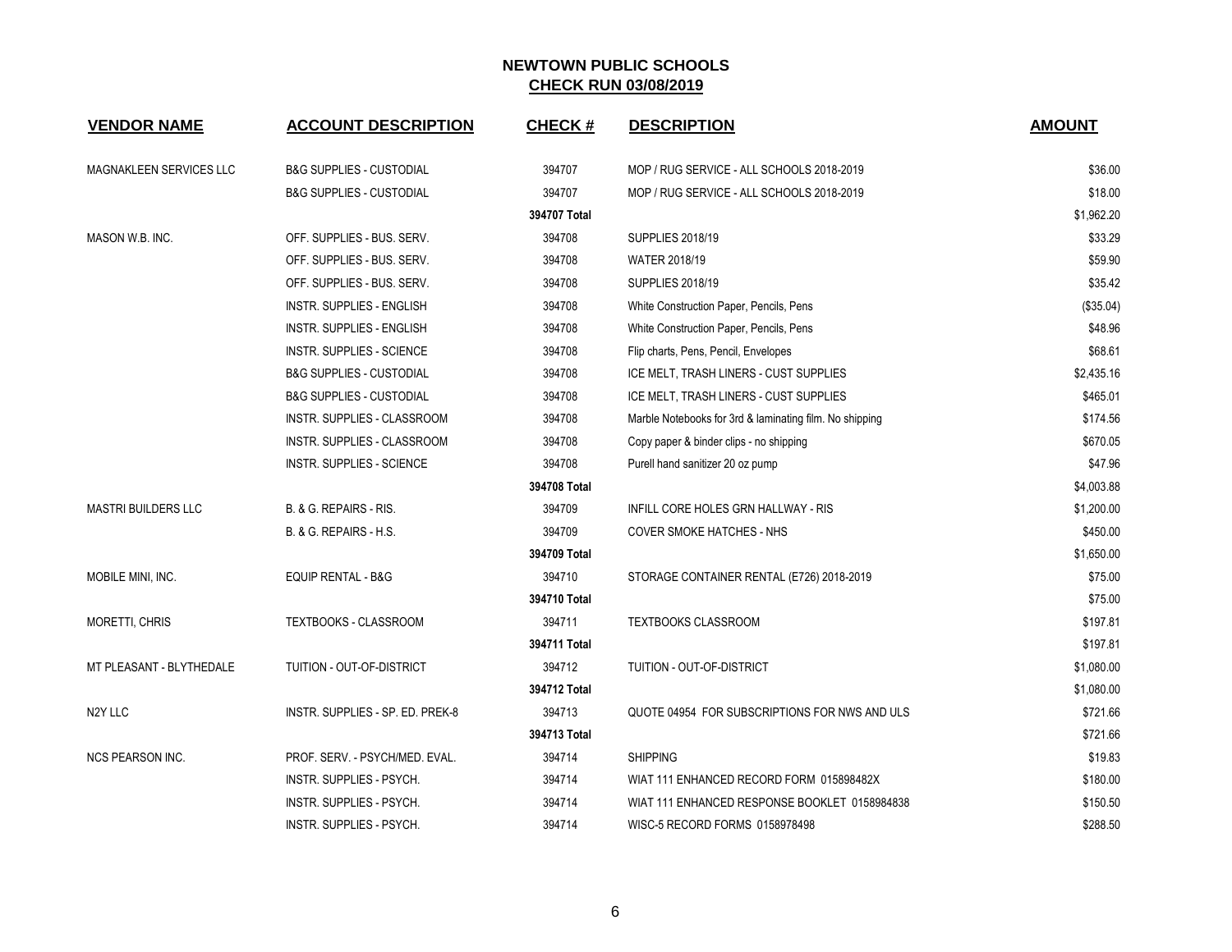| <b>VENDOR NAME</b>             | <b>ACCOUNT DESCRIPTION</b>          | <b>CHECK#</b> | <b>DESCRIPTION</b>                                      | <b>AMOUNT</b> |
|--------------------------------|-------------------------------------|---------------|---------------------------------------------------------|---------------|
| <b>MAGNAKLEEN SERVICES LLC</b> | <b>B&amp;G SUPPLIES - CUSTODIAL</b> | 394707        | MOP / RUG SERVICE - ALL SCHOOLS 2018-2019               | \$36.00       |
|                                | <b>B&amp;G SUPPLIES - CUSTODIAL</b> | 394707        | MOP / RUG SERVICE - ALL SCHOOLS 2018-2019               | \$18.00       |
|                                |                                     | 394707 Total  |                                                         | \$1,962.20    |
| MASON W.B. INC.                | OFF. SUPPLIES - BUS. SERV.          | 394708        | <b>SUPPLIES 2018/19</b>                                 | \$33.29       |
|                                | OFF. SUPPLIES - BUS. SERV.          | 394708        | <b>WATER 2018/19</b>                                    | \$59.90       |
|                                | OFF. SUPPLIES - BUS. SERV.          | 394708        | <b>SUPPLIES 2018/19</b>                                 | \$35.42       |
|                                | INSTR. SUPPLIES - ENGLISH           | 394708        | White Construction Paper, Pencils, Pens                 | (\$35.04)     |
|                                | <b>INSTR. SUPPLIES - ENGLISH</b>    | 394708        | White Construction Paper, Pencils, Pens                 | \$48.96       |
|                                | <b>INSTR. SUPPLIES - SCIENCE</b>    | 394708        | Flip charts, Pens, Pencil, Envelopes                    | \$68.61       |
|                                | <b>B&amp;G SUPPLIES - CUSTODIAL</b> | 394708        | ICE MELT, TRASH LINERS - CUST SUPPLIES                  | \$2,435.16    |
|                                | <b>B&amp;G SUPPLIES - CUSTODIAL</b> | 394708        | ICE MELT, TRASH LINERS - CUST SUPPLIES                  | \$465.01      |
|                                | <b>INSTR. SUPPLIES - CLASSROOM</b>  | 394708        | Marble Notebooks for 3rd & laminating film. No shipping | \$174.56      |
|                                | INSTR. SUPPLIES - CLASSROOM         | 394708        | Copy paper & binder clips - no shipping                 | \$670.05      |
|                                | <b>INSTR. SUPPLIES - SCIENCE</b>    | 394708        | Purell hand sanitizer 20 oz pump                        | \$47.96       |
|                                |                                     | 394708 Total  |                                                         | \$4,003.88    |
| <b>MASTRI BUILDERS LLC</b>     | B. & G. REPAIRS - RIS.              | 394709        | INFILL CORE HOLES GRN HALLWAY - RIS                     | \$1,200.00    |
|                                | B. & G. REPAIRS - H.S.              | 394709        | <b>COVER SMOKE HATCHES - NHS</b>                        | \$450.00      |
|                                |                                     | 394709 Total  |                                                         | \$1,650.00    |
| MOBILE MINI, INC.              | EQUIP RENTAL - B&G                  | 394710        | STORAGE CONTAINER RENTAL (E726) 2018-2019               | \$75.00       |
|                                |                                     | 394710 Total  |                                                         | \$75.00       |
| MORETTI, CHRIS                 | TEXTBOOKS - CLASSROOM               | 394711        | <b>TEXTBOOKS CLASSROOM</b>                              | \$197.81      |
|                                |                                     | 394711 Total  |                                                         | \$197.81      |
| MT PLEASANT - BLYTHEDALE       | TUITION - OUT-OF-DISTRICT           | 394712        | TUITION - OUT-OF-DISTRICT                               | \$1,080.00    |
|                                |                                     | 394712 Total  |                                                         | \$1,080.00    |
| N <sub>2</sub> Y LLC           | INSTR. SUPPLIES - SP. ED. PREK-8    | 394713        | QUOTE 04954 FOR SUBSCRIPTIONS FOR NWS AND ULS           | \$721.66      |
|                                |                                     | 394713 Total  |                                                         | \$721.66      |
| <b>NCS PEARSON INC.</b>        | PROF. SERV. - PSYCH/MED. EVAL.      | 394714        | <b>SHIPPING</b>                                         | \$19.83       |
|                                | INSTR. SUPPLIES - PSYCH.            | 394714        | WIAT 111 ENHANCED RECORD FORM 015898482X                | \$180.00      |
|                                | INSTR. SUPPLIES - PSYCH.            | 394714        | WIAT 111 ENHANCED RESPONSE BOOKLET 0158984838           | \$150.50      |
|                                | INSTR. SUPPLIES - PSYCH.            | 394714        | WISC-5 RECORD FORMS 0158978498                          | \$288.50      |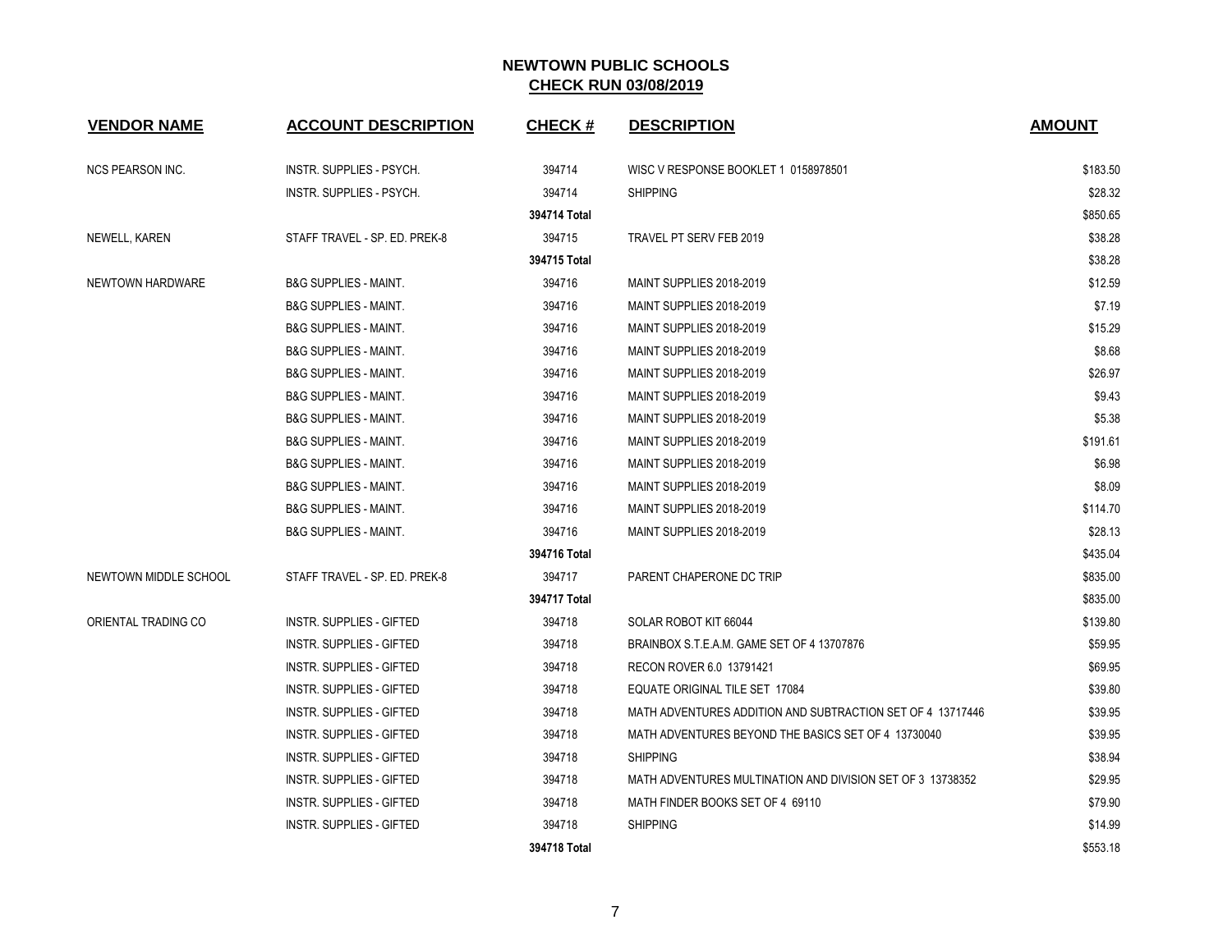| <b>VENDOR NAME</b>      | <b>ACCOUNT DESCRIPTION</b>       | <b>CHECK#</b> | <b>DESCRIPTION</b>                                         | <b>AMOUNT</b> |
|-------------------------|----------------------------------|---------------|------------------------------------------------------------|---------------|
| <b>NCS PEARSON INC.</b> | <b>INSTR. SUPPLIES - PSYCH.</b>  | 394714        | WISC V RESPONSE BOOKLET 1 0158978501                       | \$183.50      |
|                         | <b>INSTR. SUPPLIES - PSYCH.</b>  | 394714        | <b>SHIPPING</b>                                            | \$28.32       |
|                         |                                  | 394714 Total  |                                                            | \$850.65      |
| NEWELL, KAREN           | STAFF TRAVEL - SP. ED. PREK-8    | 394715        | TRAVEL PT SERV FEB 2019                                    | \$38.28       |
|                         |                                  | 394715 Total  |                                                            | \$38.28       |
| NEWTOWN HARDWARE        | <b>B&amp;G SUPPLIES - MAINT.</b> | 394716        | MAINT SUPPLIES 2018-2019                                   | \$12.59       |
|                         | <b>B&amp;G SUPPLIES - MAINT.</b> | 394716        | MAINT SUPPLIES 2018-2019                                   | \$7.19        |
|                         | <b>B&amp;G SUPPLIES - MAINT.</b> | 394716        | MAINT SUPPLIES 2018-2019                                   | \$15.29       |
|                         | <b>B&amp;G SUPPLIES - MAINT.</b> | 394716        | MAINT SUPPLIES 2018-2019                                   | \$8.68        |
|                         | <b>B&amp;G SUPPLIES - MAINT.</b> | 394716        | MAINT SUPPLIES 2018-2019                                   | \$26.97       |
|                         | <b>B&amp;G SUPPLIES - MAINT.</b> | 394716        | MAINT SUPPLIES 2018-2019                                   | \$9.43        |
|                         | <b>B&amp;G SUPPLIES - MAINT.</b> | 394716        | MAINT SUPPLIES 2018-2019                                   | \$5.38        |
|                         | <b>B&amp;G SUPPLIES - MAINT.</b> | 394716        | MAINT SUPPLIES 2018-2019                                   | \$191.61      |
|                         | <b>B&amp;G SUPPLIES - MAINT.</b> | 394716        | MAINT SUPPLIES 2018-2019                                   | \$6.98        |
|                         | <b>B&amp;G SUPPLIES - MAINT.</b> | 394716        | MAINT SUPPLIES 2018-2019                                   | \$8.09        |
|                         | <b>B&amp;G SUPPLIES - MAINT.</b> | 394716        | MAINT SUPPLIES 2018-2019                                   | \$114.70      |
|                         | <b>B&amp;G SUPPLIES - MAINT.</b> | 394716        | MAINT SUPPLIES 2018-2019                                   | \$28.13       |
|                         |                                  | 394716 Total  |                                                            | \$435.04      |
| NEWTOWN MIDDLE SCHOOL   | STAFF TRAVEL - SP. ED. PREK-8    | 394717        | PARENT CHAPERONE DC TRIP                                   | \$835.00      |
|                         |                                  | 394717 Total  |                                                            | \$835.00      |
| ORIENTAL TRADING CO     | <b>INSTR. SUPPLIES - GIFTED</b>  | 394718        | SOLAR ROBOT KIT 66044                                      | \$139.80      |
|                         | <b>INSTR. SUPPLIES - GIFTED</b>  | 394718        | BRAINBOX S.T.E.A.M. GAME SET OF 4 13707876                 | \$59.95       |
|                         | <b>INSTR. SUPPLIES - GIFTED</b>  | 394718        | RECON ROVER 6.0 13791421                                   | \$69.95       |
|                         | <b>INSTR. SUPPLIES - GIFTED</b>  | 394718        | <b>EQUATE ORIGINAL TILE SET 17084</b>                      | \$39.80       |
|                         | <b>INSTR. SUPPLIES - GIFTED</b>  | 394718        | MATH ADVENTURES ADDITION AND SUBTRACTION SET OF 4 13717446 | \$39.95       |
|                         | INSTR. SUPPLIES - GIFTED         | 394718        | MATH ADVENTURES BEYOND THE BASICS SET OF 4 13730040        | \$39.95       |
|                         | INSTR. SUPPLIES - GIFTED         | 394718        | <b>SHIPPING</b>                                            | \$38.94       |
|                         | <b>INSTR. SUPPLIES - GIFTED</b>  | 394718        | MATH ADVENTURES MULTINATION AND DIVISION SET OF 3 13738352 | \$29.95       |
|                         | <b>INSTR. SUPPLIES - GIFTED</b>  | 394718        | MATH FINDER BOOKS SET OF 4 69110                           | \$79.90       |
|                         | <b>INSTR. SUPPLIES - GIFTED</b>  | 394718        | <b>SHIPPING</b>                                            | \$14.99       |
|                         |                                  | 394718 Total  |                                                            | \$553.18      |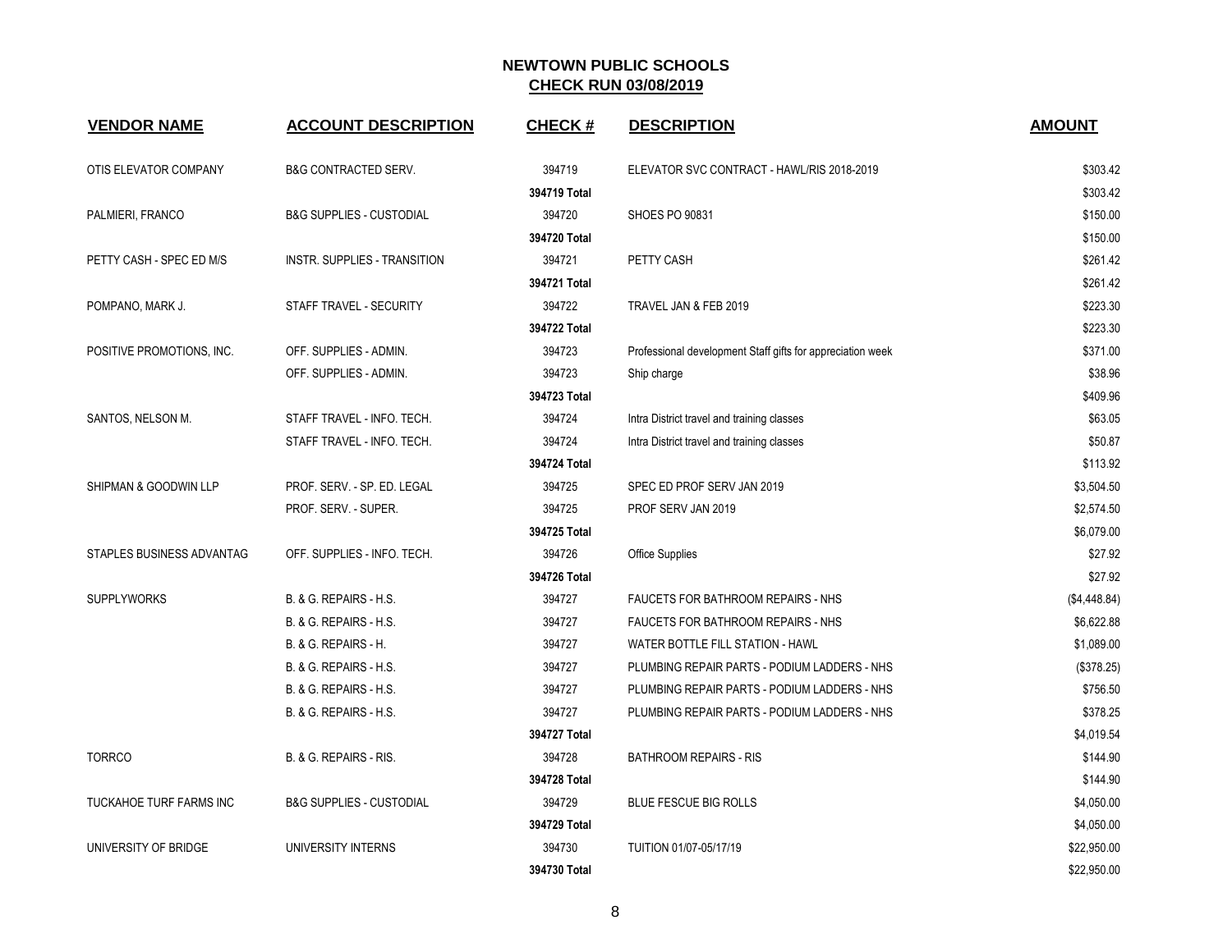| <b>VENDOR NAME</b>        | <b>ACCOUNT DESCRIPTION</b>          | <b>CHECK#</b> | <b>DESCRIPTION</b>                                         | <b>AMOUNT</b> |
|---------------------------|-------------------------------------|---------------|------------------------------------------------------------|---------------|
| OTIS ELEVATOR COMPANY     | <b>B&amp;G CONTRACTED SERV.</b>     | 394719        | ELEVATOR SVC CONTRACT - HAWL/RIS 2018-2019                 | \$303.42      |
|                           |                                     | 394719 Total  |                                                            | \$303.42      |
| PALMIERI, FRANCO          | <b>B&amp;G SUPPLIES - CUSTODIAL</b> | 394720        | <b>SHOES PO 90831</b>                                      | \$150.00      |
|                           |                                     | 394720 Total  |                                                            | \$150.00      |
| PETTY CASH - SPEC ED M/S  | INSTR. SUPPLIES - TRANSITION        | 394721        | PETTY CASH                                                 | \$261.42      |
|                           |                                     | 394721 Total  |                                                            | \$261.42      |
| POMPANO, MARK J.          | STAFF TRAVEL - SECURITY             | 394722        | TRAVEL JAN & FEB 2019                                      | \$223.30      |
|                           |                                     | 394722 Total  |                                                            | \$223.30      |
| POSITIVE PROMOTIONS, INC. | OFF. SUPPLIES - ADMIN.              | 394723        | Professional development Staff gifts for appreciation week | \$371.00      |
|                           | OFF. SUPPLIES - ADMIN.              | 394723        | Ship charge                                                | \$38.96       |
|                           |                                     | 394723 Total  |                                                            | \$409.96      |
| SANTOS, NELSON M.         | STAFF TRAVEL - INFO. TECH.          | 394724        | Intra District travel and training classes                 | \$63.05       |
|                           | STAFF TRAVEL - INFO. TECH.          | 394724        | Intra District travel and training classes                 | \$50.87       |
|                           |                                     | 394724 Total  |                                                            | \$113.92      |
| SHIPMAN & GOODWIN LLP     | PROF. SERV. - SP. ED. LEGAL         | 394725        | SPEC ED PROF SERV JAN 2019                                 | \$3,504.50    |
|                           | PROF. SERV. - SUPER.                | 394725        | PROF SERV JAN 2019                                         | \$2,574.50    |
|                           |                                     | 394725 Total  |                                                            | \$6,079.00    |
| STAPLES BUSINESS ADVANTAG | OFF. SUPPLIES - INFO. TECH.         | 394726        | Office Supplies                                            | \$27.92       |
|                           |                                     | 394726 Total  |                                                            | \$27.92       |
| <b>SUPPLYWORKS</b>        | B. & G. REPAIRS - H.S.              | 394727        | FAUCETS FOR BATHROOM REPAIRS - NHS                         | (\$4,448.84)  |
|                           | B. & G. REPAIRS - H.S.              | 394727        | FAUCETS FOR BATHROOM REPAIRS - NHS                         | \$6,622.88    |
|                           | B. & G. REPAIRS - H.                | 394727        | WATER BOTTLE FILL STATION - HAWL                           | \$1,089.00    |
|                           | B. & G. REPAIRS - H.S.              | 394727        | PLUMBING REPAIR PARTS - PODIUM LADDERS - NHS               | (\$378.25)    |
|                           | B. & G. REPAIRS - H.S.              | 394727        | PLUMBING REPAIR PARTS - PODIUM LADDERS - NHS               | \$756.50      |
|                           | B. & G. REPAIRS - H.S.              | 394727        | PLUMBING REPAIR PARTS - PODIUM LADDERS - NHS               | \$378.25      |
|                           |                                     | 394727 Total  |                                                            | \$4,019.54    |
| <b>TORRCO</b>             | B. & G. REPAIRS - RIS.              | 394728        | <b>BATHROOM REPAIRS - RIS</b>                              | \$144.90      |
|                           |                                     | 394728 Total  |                                                            | \$144.90      |
| TUCKAHOE TURF FARMS INC   | <b>B&amp;G SUPPLIES - CUSTODIAL</b> | 394729        | <b>BLUE FESCUE BIG ROLLS</b>                               | \$4,050.00    |
|                           |                                     | 394729 Total  |                                                            | \$4,050.00    |
| UNIVERSITY OF BRIDGE      | UNIVERSITY INTERNS                  | 394730        | TUITION 01/07-05/17/19                                     | \$22,950.00   |
|                           |                                     | 394730 Total  |                                                            | \$22,950.00   |